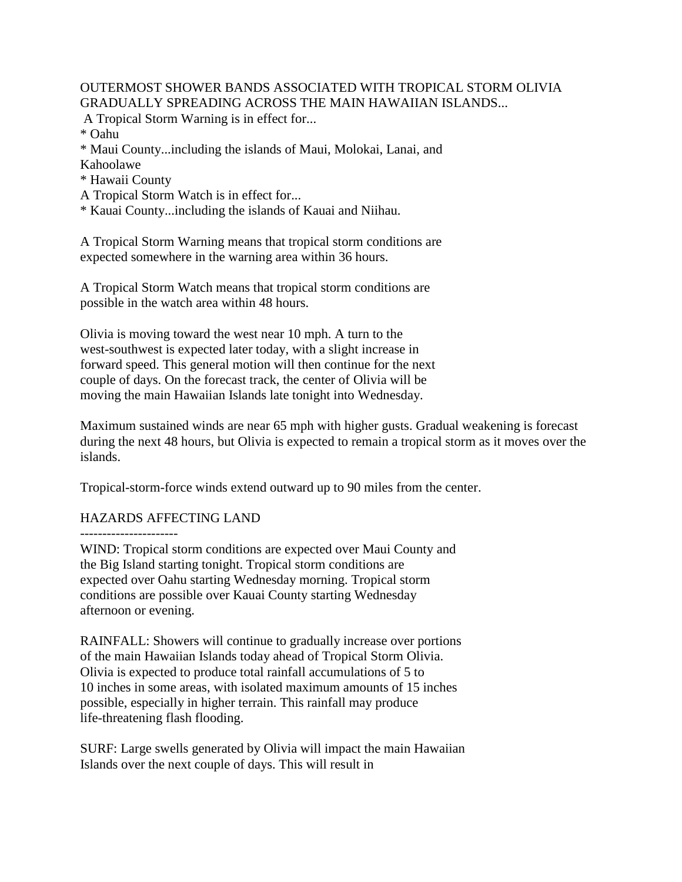OUTERMOST SHOWER BANDS ASSOCIATED WITH TROPICAL STORM OLIVIA GRADUALLY SPREADING ACROSS THE MAIN HAWAIIAN ISLANDS...

A Tropical Storm Warning is in effect for...

\* Oahu

\* Maui County...including the islands of Maui, Molokai, Lanai, and Kahoolawe

\* Hawaii County

A Tropical Storm Watch is in effect for...

\* Kauai County...including the islands of Kauai and Niihau.

A Tropical Storm Warning means that tropical storm conditions are expected somewhere in the warning area within 36 hours.

A Tropical Storm Watch means that tropical storm conditions are possible in the watch area within 48 hours.

Olivia is moving toward the west near 10 mph. A turn to the west-southwest is expected later today, with a slight increase in forward speed. This general motion will then continue for the next couple of days. On the forecast track, the center of Olivia will be moving the main Hawaiian Islands late tonight into Wednesday.

Maximum sustained winds are near 65 mph with higher gusts. Gradual weakening is forecast during the next 48 hours, but Olivia is expected to remain a tropical storm as it moves over the islands.

Tropical-storm-force winds extend outward up to 90 miles from the center.

## HAZARDS AFFECTING LAND

----------------------

WIND: Tropical storm conditions are expected over Maui County and the Big Island starting tonight. Tropical storm conditions are expected over Oahu starting Wednesday morning. Tropical storm conditions are possible over Kauai County starting Wednesday afternoon or evening.

RAINFALL: Showers will continue to gradually increase over portions of the main Hawaiian Islands today ahead of Tropical Storm Olivia. Olivia is expected to produce total rainfall accumulations of 5 to 10 inches in some areas, with isolated maximum amounts of 15 inches possible, especially in higher terrain. This rainfall may produce life-threatening flash flooding.

SURF: Large swells generated by Olivia will impact the main Hawaiian Islands over the next couple of days. This will result in